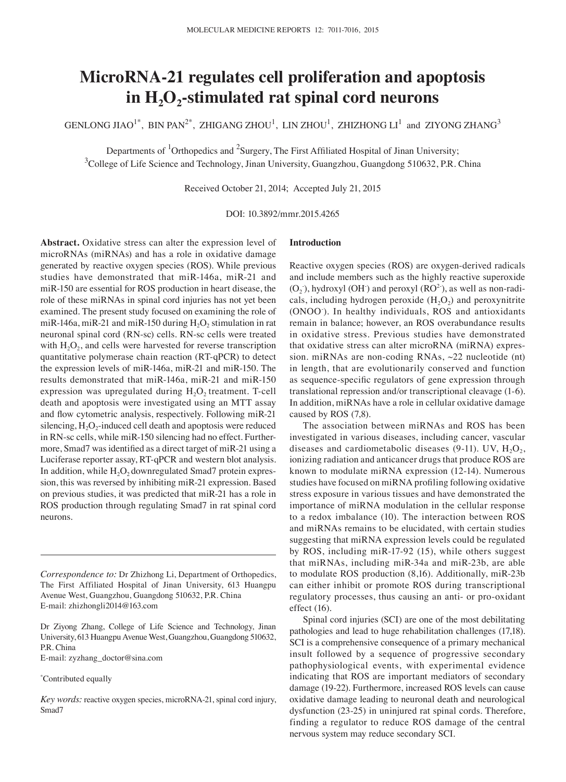# **MicroRNA‑21 regulates cell proliferation and apoptosis**  in H<sub>2</sub>O<sub>2</sub>-stimulated rat spinal cord neurons

GENLONG JIAO $^{1*}$ , BIN PAN $^{2*}$ , ZHIGANG ZHOU $^{1}$ , LIN ZHOU $^{1}$ , ZHIZHONG LI $^{1\,}$  and ZIYONG ZHANG $^{3\,}$ 

Departments of <sup>1</sup>Orthopedics and <sup>2</sup>Surgery, The First Affiliated Hospital of Jinan University;  $3$ College of Life Science and Technology, Jinan University, Guangzhou, Guangdong 510632, P.R. China

Received October 21, 2014; Accepted July 21, 2015

DOI: 10.3892/mmr.2015.4265

**Abstract.** Oxidative stress can alter the expression level of microRNAs (miRNAs) and has a role in oxidative damage generated by reactive oxygen species (ROS). While previous studies have demonstrated that miR-146a, miR-21 and miR-150 are essential for ROS production in heart disease, the role of these miRNAs in spinal cord injuries has not yet been examined. The present study focused on examining the role of miR-146a, miR-21 and miR-150 during  $H_2O_2$  stimulation in rat neuronal spinal cord (RN-sc) cells. RN-sc cells were treated with  $H_2O_2$ , and cells were harvested for reverse transcription quantitative polymerase chain reaction (RT-qPCR) to detect the expression levels of miR-146a, miR-21 and miR-150. The results demonstrated that miR-146a, miR-21 and miR-150 expression was upregulated during  $H_2O_2$  treatment. T-cell death and apoptosis were investigated using an MTT assay and flow cytometric analysis, respectively. Following miR-21 silencing,  $H_2O_2$ -induced cell death and apoptosis were reduced in RN-sc cells, while miR-150 silencing had no effect. Furthermore, Smad7 was identified as a direct target of miR‑21 using a Luciferase reporter assay, RT-qPCR and western blot analysis. In addition, while  $H_2O_2$  downregulated Smad7 protein expression, this was reversed by inhibiting miR-21 expression. Based on previous studies, it was predicted that miR-21 has a role in ROS production through regulating Smad7 in rat spinal cord neurons.

*Correspondence to:* Dr Zhizhong Li, Department of Orthopedics, The First Affiliated Hospital of Jinan University, 613 Huangpu Avenue West, Guangzhou, Guangdong 510632, P.R. China E-mail: zhizhongli2014@163.com

Dr Ziyong Zhang, College of Life Science and Technology, Jinan University, 613 Huangpu Avenue West, Guangzhou, Guangdong 510632, P.R. China

E-mail: zyzhang\_doctor@sina.com

\* Contributed equally

*Key words:* reactive oxygen species, microRNA-21, spinal cord injury, Smad7

## **Introduction**

Reactive oxygen species (ROS) are oxygen-derived radicals and include members such as the highly reactive superoxide  $(O_2)$ , hydroxyl  $(OH)$  and peroxyl  $(RO^2)$ , as well as non-radicals, including hydrogen peroxide  $(H<sub>2</sub>O<sub>2</sub>)$  and peroxynitrite (ONOO<sup>-</sup>). In healthy individuals, ROS and antioxidants remain in balance; however, an ROS overabundance results in oxidative stress. Previous studies have demonstrated that oxidative stress can alter microRNA (miRNA) expression. miRNAs are non-coding RNAs, ~22 nucleotide (nt) in length, that are evolutionarily conserved and function as sequence‑specific regulators of gene expression through translational repression and/or transcriptional cleavage (1-6). In addition, miRNAs have a role in cellular oxidative damage caused by ROS (7,8).

The association between miRNAs and ROS has been investigated in various diseases, including cancer, vascular diseases and cardiometabolic diseases  $(9-11)$ . UV,  $H_2O_2$ , ionizing radiation and anticancer drugs that produce ROS are known to modulate miRNA expression (12-14). Numerous studies have focused on miRNA profiling following oxidative stress exposure in various tissues and have demonstrated the importance of miRNA modulation in the cellular response to a redox imbalance (10). The interaction between ROS and miRNAs remains to be elucidated, with certain studies suggesting that miRNA expression levels could be regulated by ROS, including miR-17-92 (15), while others suggest that miRNAs, including miR-34a and miR-23b, are able to modulate ROS production (8,16). Additionally, miR-23b can either inhibit or promote ROS during transcriptional regulatory processes, thus causing an anti- or pro-oxidant effect (16).

Spinal cord injuries (SCI) are one of the most debilitating pathologies and lead to huge rehabilitation challenges (17,18). SCI is a comprehensive consequence of a primary mechanical insult followed by a sequence of progressive secondary pathophysiological events, with experimental evidence indicating that ROS are important mediators of secondary damage (19-22). Furthermore, increased ROS levels can cause oxidative damage leading to neuronal death and neurological dysfunction (23-25) in uninjured rat spinal cords. Therefore, finding a regulator to reduce ROS damage of the central nervous system may reduce secondary SCI.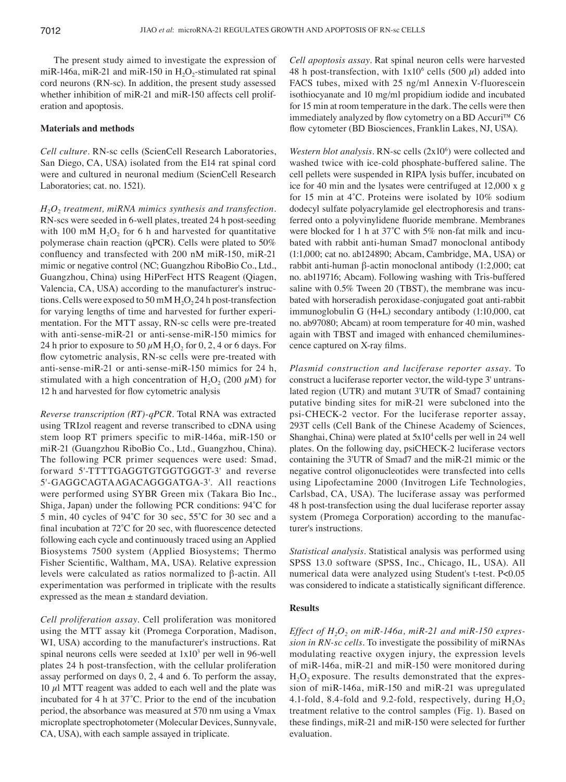The present study aimed to investigate the expression of miR-146a, miR-21 and miR-150 in  $H_2O_2$ -stimulated rat spinal cord neurons (RN-sc). In addition, the present study assessed whether inhibition of miR-21 and miR-150 affects cell proliferation and apoptosis.

### **Materials and methods**

*Cell culture.* RN-sc cells (ScienCell Research Laboratories, San Diego, CA, USA) isolated from the E14 rat spinal cord were and cultured in neuronal medium (ScienCell Research Laboratories; cat. no. 1521).

*H*2*O*2 *treatment, miRNA mimics synthesis and transfection.*  RN-scs were seeded in 6-well plates, treated 24 h post-seeding with 100 mM  $H<sub>2</sub>O<sub>2</sub>$  for 6 h and harvested for quantitative polymerase chain reaction (qPCR). Cells were plated to 50% confluency and transfected with 200 nM miR‑150, miR‑21 mimic or negative control (NC; Guangzhou RiboBio Co., Ltd., Guangzhou, China) using HiPerFect HTS Reagent (Qiagen, Valencia, CA, USA) according to the manufacturer's instructions. Cells were exposed to 50 mM  $H_2O_2$  24 h post-transfection for varying lengths of time and harvested for further experimentation. For the MTT assay, RN-sc cells were pre-treated with anti-sense-miR-21 or anti-sense-miR-150 mimics for 24 h prior to exposure to 50  $\mu$ M H<sub>2</sub>O<sub>2</sub> for 0, 2, 4 or 6 days. For flow cytometric analysis, RN-sc cells were pre-treated with anti-sense-miR-21 or anti-sense-miR-150 mimics for 24 h, stimulated with a high concentration of H<sub>2</sub>O<sub>2</sub> (200  $\mu$ M) for 12 h and harvested for flow cytometric analysis

*Reverse transcription (RT)‑qPCR.* Total RNA was extracted using TRIzol reagent and reverse transcribed to cDNA using stem loop RT primers specific to miR-146a, miR-150 or miR-21 (Guangzhou RiboBio Co., Ltd., Guangzhou, China). The following PCR primer sequences were used: Smad, forward 5'-TTTTGAGGTGTGGTGGGT-3' and reverse 5'-GAGGCAGTAAGACAGGGATGA-3'. All reactions were performed using SYBR Green mix (Takara Bio Inc., Shiga, Japan) under the following PCR conditions: 94˚C for 5 min, 40 cycles of 94˚C for 30 sec, 55˚C for 30 sec and a final incubation at 72˚C for 20 sec, with fluorescence detected following each cycle and continuously traced using an Applied Biosystems 7500 system (Applied Biosystems; Thermo Fisher Scientific, Waltham, MA, USA). Relative expression levels were calculated as ratios normalized to β-actin. All experimentation was performed in triplicate with the results expressed as the mean ± standard deviation.

*Cell proliferation assay.* Cell proliferation was monitored using the MTT assay kit (Promega Corporation, Madison, WI, USA) according to the manufacturer's instructions. Rat spinal neurons cells were seeded at  $1x10<sup>3</sup>$  per well in 96-well plates 24 h post-transfection, with the cellular proliferation assay performed on days 0, 2, 4 and 6. To perform the assay,  $10 \mu$ l MTT reagent was added to each well and the plate was incubated for 4 h at 37˚C. Prior to the end of the incubation period, the absorbance was measured at 570 nm using a Vmax microplate spectrophotometer (Molecular Devices, Sunnyvale, CA, USA), with each sample assayed in triplicate.

*Cell apoptosis assay.* Rat spinal neuron cells were harvested 48 h post-transfection, with  $1x10^6$  cells (500  $\mu$ l) added into FACS tubes, mixed with 25 ng/ml Annexin V-fluorescein isothiocyanate and 10 mg/ml propidium iodide and incubated for 15 min at room temperature in the dark. The cells were then immediately analyzed by flow cytometry on a BD Accuri<sup>™</sup> C6 flow cytometer (BD Biosciences, Franklin Lakes, NJ, USA).

*Western blot analysis.* RN-sc cells (2x10<sup>6</sup>) were collected and washed twice with ice-cold phosphate-buffered saline. The cell pellets were suspended in RIPA lysis buffer, incubated on ice for 40 min and the lysates were centrifuged at 12,000 x g for 15 min at 4˚C. Proteins were isolated by 10% sodium dodecyl sulfate polyacrylamide gel electrophoresis and transferred onto a polyvinylidene fluoride membrane. Membranes were blocked for 1 h at 37°C with 5% non-fat milk and incubated with rabbit anti-human Smad7 monoclonal antibody (1:1,000; cat no. ab124890; Abcam, Cambridge, MA, USA) or rabbit anti-human β-actin monoclonal antibody (1:2,000; cat no. ab119716; Abcam). Following washing with Tris-buffered saline with  $0.5\%$  Tween 20 (TBST), the membrane was incubated with horseradish peroxidase-conjugated goat anti-rabbit immunoglobulin G (H+L) secondary antibody (1:10,000, cat no. ab97080; Abcam) at room temperature for 40 min, washed again with TBST and imaged with enhanced chemiluminescence captured on X‑ray films.

*Plasmid construction and luciferase reporter assay.* To construct a luciferase reporter vector, the wild-type 3' untranslated region (UTR) and mutant 3'UTR of Smad7 containing putative binding sites for miR-21 were subcloned into the psi-CHECK-2 vector. For the luciferase reporter assay, 293T cells (Cell Bank of the Chinese Academy of Sciences, Shanghai, China) were plated at  $5x10^4$  cells per well in 24 well plates. On the following day, psiCHECK-2 luciferase vectors containing the 3'UTR of Smad7 and the miR-21 mimic or the negative control oligonucleotides were transfected into cells using Lipofectamine 2000 (Invitrogen Life Technologies, Carlsbad, CA, USA). The luciferase assay was performed 48 h post-transfection using the dual luciferase reporter assay system (Promega Corporation) according to the manufacturer's instructions.

*Statistical analysis.* Statistical analysis was performed using SPSS 13.0 software (SPSS, Inc., Chicago, IL, USA). All numerical data were analyzed using Student's t-test. P<0.05 was considered to indicate a statistically significant difference.

#### **Results**

*Effect of*  $H_2O_2$  *on miR-146a, miR-21 and miR-150 expres– sion in RN‑sc cells.* To investigate the possibility of miRNAs modulating reactive oxygen injury, the expression levels of miR-146a, miR-21 and miR-150 were monitored during  $H_2O_2$  exposure. The results demonstrated that the expression of miR-146a, miR-150 and miR-21 was upregulated 4.1-fold, 8.4-fold and 9.2-fold, respectively, during  $H_2O_2$ treatment relative to the control samples (Fig. 1). Based on these findings, miR‑21 and miR‑150 were selected for further evaluation.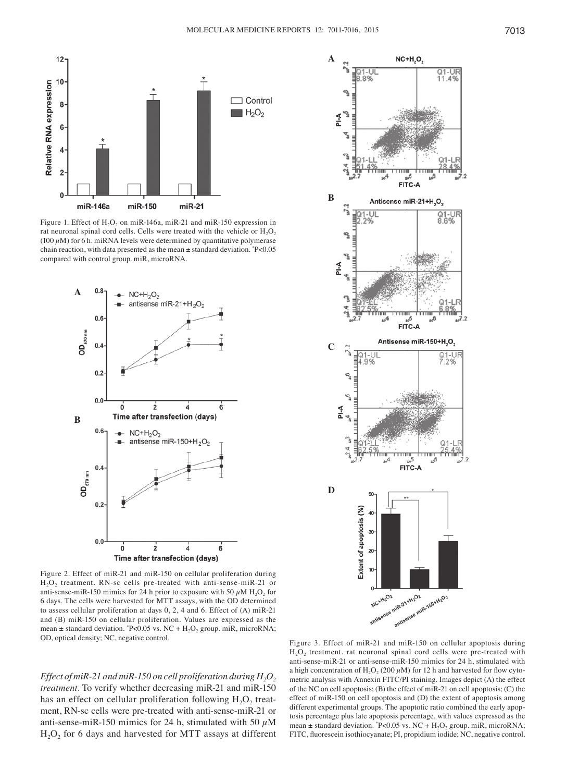

Figure 1. Effect of  $H_2O_2$  on miR-146a, miR-21 and miR-150 expression in rat neuronal spinal cord cells. Cells were treated with the vehicle or  $H_2O_2$ (100  $\mu$ M) for 6 h. miRNA levels were determined by quantitative polymerase chain reaction, with data presented as the mean ± standard deviation. \* P<0.05 compared with control group. miR, microRNA.



Figure 2. Effect of miR-21 and miR-150 on cellular proliferation during  $H<sub>2</sub>O<sub>2</sub>$  treatment. RN-sc cells pre-treated with anti-sense-miR-21 or anti-sense-miR-150 mimics for 24 h prior to exposure with 50  $\mu$ M H<sub>2</sub>O<sub>2</sub> for 6 days. The cells were harvested for MTT assays, with the OD determined to assess cellular proliferation at days 0, 2, 4 and 6. Effect of (A) miR-21 and (B) miR-150 on cellular proliferation. Values are expressed as the mean  $\pm$  standard deviation.  $P<0.05$  vs. NC + H<sub>2</sub>O<sub>2</sub> group. miR, microRNA;

*Effect of miR-21 and miR-150 on cell proliferation during*  $H_2O_2$ *treatment.* To verify whether decreasing miR-21 and miR-150 has an effect on cellular proliferation following  $H_2O_2$  treatment, RN-sc cells were pre-treated with anti-sense-miR-21 or anti-sense-miR-150 mimics for 24 h, stimulated with 50  $\mu$ M  $H<sub>2</sub>O<sub>2</sub>$  for 6 days and harvested for MTT assays at different



OD, optical density; NC, negative control. Figure 3. Effect of miR-21 and miR-150 on cellular apoptosis during  $H<sub>2</sub>O<sub>2</sub>$  treatment. rat neuronal spinal cord cells were pre-treated with anti-sense-miR-21 or anti-sense-miR-150 mimics for 24 h, stimulated with a high concentration of H<sub>2</sub>O<sub>2</sub> (200  $\mu$ M) for 12 h and harvested for flow cytometric analysis with Annexin FITC/PI staining. Images depict (A) the effect of the NC on cell apoptosis; (B) the effect of miR-21 on cell apoptosis; (C) the effect of miR-150 on cell apoptosis and (D) the extent of apoptosis among different experimental groups. The apoptotic ratio combined the early apoptosis percentage plus late apoptosis percentage, with values expressed as the mean  $\pm$  standard deviation.  $P<0.05$  vs. NC + H<sub>2</sub>O<sub>2</sub> group. miR, microRNA; FITC, fluorescein isothiocyanate; PI, propidium iodide; NC, negative control.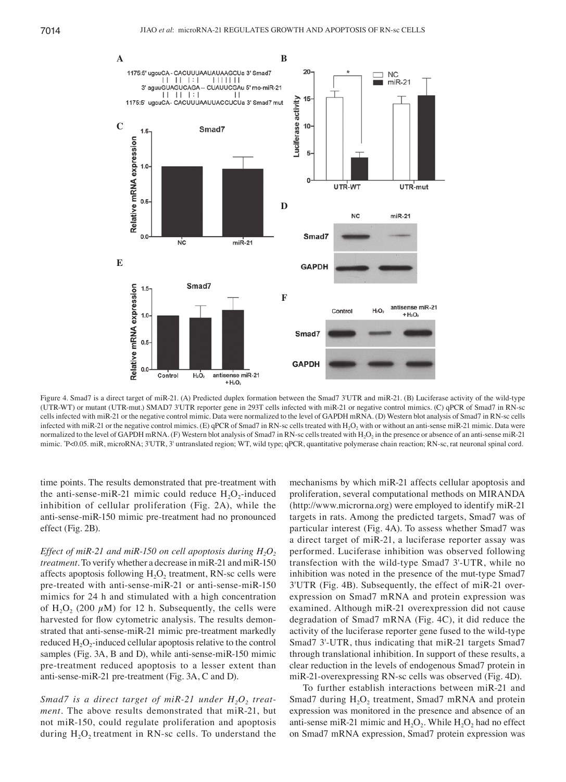

Figure 4. Smad7 is a direct target of miR-21. (A) Predicted duplex formation between the Smad7 3'UTR and miR-21. (B) Luciferase activity of the wild-type (UTR-WT) or mutant (UTR-mut.) SMAD7 3'UTR reporter gene in 293T cells infected with miR-21 or negative control mimics. (C) qPCR of Smad7 in RN-sc cells infected with miR-21 or the negative control mimic. Data were normalized to the level of GAPDH mRNA. (D) Western blot analysis of Smad7 in RN-sc cells infected with miR-21 or the negative control mimics. (E) qPCR of Smad7 in RN-sc cells treated with  $H_2O_2$  with or without an anti-sense miR-21 mimic. Data were normalized to the level of GAPDH mRNA. (F) Western blot analysis of Smad7 in RN-sc cells treated with  $H_2O_2$  in the presence or absence of an anti-sense miR-21 mimic. "P<0.05. miR, microRNA; 3'UTR, 3' untranslated region; WT, wild type; qPCR, quantitative polymerase chain reaction; RN-sc, rat neuronal spinal cord.

time points. The results demonstrated that pre-treatment with the anti-sense-miR-21 mimic could reduce  $H_2O_2$ -induced inhibition of cellular proliferation (Fig. 2A), while the anti-sense-miR-150 mimic pre-treatment had no pronounced effect (Fig. 2B).

*Effect of miR-21 and miR-150 on cell apoptosis during*  $H_2O_2$ *treatment.* To verify whether a decrease in miR-21 and miR-150 affects apoptosis following  $H_2O_2$  treatment, RN-sc cells were pre-treated with anti-sense-miR-21 or anti-sense-miR-150 mimics for 24 h and stimulated with a high concentration of  $H_2O_2$  (200  $\mu$ M) for 12 h. Subsequently, the cells were harvested for flow cytometric analysis. The results demonstrated that anti-sense-miR-21 mimic pre-treatment markedly reduced  $H_2O_2$ -induced cellular apoptosis relative to the control samples (Fig. 3A, B and D), while anti-sense-miR-150 mimic pre-treatment reduced apoptosis to a lesser extent than anti-sense-miR-21 pre-treatment (Fig. 3A, C and D).

*Smad7* is a direct target of miR-21 under  $H_2O_2$  treat– *ment.* The above results demonstrated that miR-21, but not miR-150, could regulate proliferation and apoptosis during  $H_2O_2$  treatment in RN-sc cells. To understand the

mechanisms by which miR-21 affects cellular apoptosis and proliferation, several computational methods on MIRANDA (http://www.microrna.org) were employed to identify miR-21 targets in rats. Among the predicted targets, Smad7 was of particular interest (Fig. 4A). To assess whether Smad7 was a direct target of miR-21, a luciferase reporter assay was performed. Luciferase inhibition was observed following transfection with the wild-type Smad7 3'-UTR, while no inhibition was noted in the presence of the mut-type Smad7 3'UTR (Fig. 4B). Subsequently, the effect of miR-21 overexpression on Smad7 mRNA and protein expression was examined. Although miR-21 overexpression did not cause degradation of Smad7 mRNA (Fig. 4C), it did reduce the activity of the luciferase reporter gene fused to the wild-type Smad7 3'-UTR, thus indicating that miR-21 targets Smad7 through translational inhibition. In support of these results, a clear reduction in the levels of endogenous Smad7 protein in miR-21-overexpressing RN-sc cells was observed (Fig. 4D).

To further establish interactions between miR-21 and Smad7 during  $H_2O_2$  treatment, Smad7 mRNA and protein expression was monitored in the presence and absence of an anti-sense miR-21 mimic and  $H_2O_2$ . While  $H_2O_2$  had no effect on Smad7 mRNA expression, Smad7 protein expression was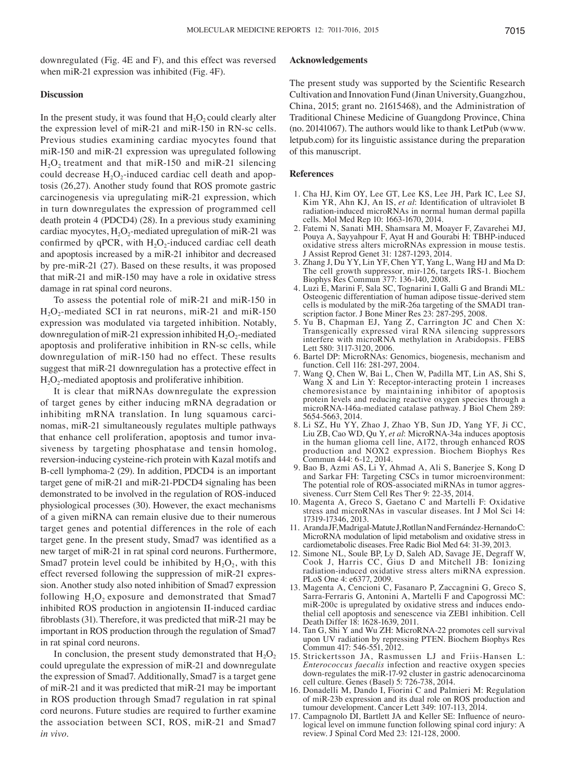downregulated (Fig. 4E and F), and this effect was reversed when miR-21 expression was inhibited (Fig. 4F).

#### **Discussion**

In the present study, it was found that  $H_2O_2$  could clearly alter the expression level of miR-21 and miR-150 in RN-sc cells. Previous studies examining cardiac myocytes found that miR-150 and miR-21 expression was upregulated following  $H<sub>2</sub>O<sub>2</sub>$  treatment and that miR-150 and miR-21 silencing could decrease  $H_2O_2$ -induced cardiac cell death and apoptosis (26,27). Another study found that ROS promote gastric carcinogenesis via upregulating miR-21 expression, which in turn downregulates the expression of programmed cell death protein 4 (PDCD4) (28). In a previous study examining cardiac myocytes,  $H_2O_2$ -mediated upregulation of miR-21 was confirmed by qPCR, with  $H_2O_2$ -induced cardiac cell death and apoptosis increased by a miR-21 inhibitor and decreased by pre-miR-21 (27). Based on these results, it was proposed that miR-21 and miR-150 may have a role in oxidative stress damage in rat spinal cord neurons.

To assess the potential role of miR-21 and miR-150 in  $H_2O_2$ -mediated SCI in rat neurons, miR-21 and miR-150 expression was modulated via targeted inhibition. Notably, downregulation of miR-21 expression inhibited  $H_2O_2$ -mediated apoptosis and proliferative inhibition in RN-sc cells, while downregulation of miR-150 had no effect. These results suggest that miR-21 downregulation has a protective effect in  $H_2O_2$ -mediated apoptosis and proliferative inhibition.

It is clear that miRNAs downregulate the expression of target genes by either inducing mRNA degradation or inhibiting mRNA translation. In lung squamous carcinomas, miR-21 simultaneously regulates multiple pathways that enhance cell proliferation, apoptosis and tumor invasiveness by targeting phosphatase and tensin homolog, reversion-inducing cysteine-rich protein with Kazal motifs and B-cell lymphoma-2 (29). In addition, PDCD4 is an important target gene of miR-21 and miR-21-PDCD4 signaling has been demonstrated to be involved in the regulation of ROS-induced physiological processes (30). However, the exact mechanisms of a given miRNA can remain elusive due to their numerous target genes and potential differences in the role of each target gene. In the present study, Smad7 was identified as a new target of miR-21 in rat spinal cord neurons. Furthermore, Smad7 protein level could be inhibited by  $H_2O_2$ , with this effect reversed following the suppression of miR-21 expression. Another study also noted inhibition of Smad7 expression following  $H_2O_2$  exposure and demonstrated that Smad7 inhibited ROS production in angiotensin II-induced cardiac fibroblasts (31). Therefore, it was predicted that miR-21 may be important in ROS production through the regulation of Smad7 in rat spinal cord neurons.

In conclusion, the present study demonstrated that  $H_2O_2$ could upregulate the expression of miR-21 and downregulate the expression of Smad7. Additionally, Smad7 is a target gene of miR-21 and it was predicted that miR-21 may be important in ROS production through Smad7 regulation in rat spinal cord neurons. Future studies are required to further examine the association between SCI, ROS, miR-21 and Smad7 *in vivo*.

#### **Acknowledgements**

The present study was supported by the Scientific Research Cultivation and Innovation Fund (Jinan University, Guangzhou, China, 2015; grant no. 21615468), and the Administration of Traditional Chinese Medicine of Guangdong Province, China (no. 20141067). The authors would like to thank LetPub (www. letpub.com) for its linguistic assistance during the preparation of this manuscript.

#### **References**

- 1. Cha HJ, Kim OY, Lee GT, Lee KS, Lee JH, Park IC, Lee SJ, Kim YR, Ahn KJ, An IS, *et al*: Identification of ultraviolet B radiation-induced microRNAs in normal human dermal papilla cells. Mol Med Rep 10: 1663-1670, 2014.
- 2. Fatemi N, Sanati MH, Shamsara M, Moayer F, Zavarehei MJ, Pouya A, Sayyahpour F, Ayat H and Gourabi H: TBHP-induced oxidative stress alters microRNAs expression in mouse testis. J Assist Reprod Genet 31: 1287-1293, 2014.
- 3. Zhang J, Du YY, Lin YF, Chen YT, Yang L, Wang HJ and Ma D: The cell growth suppressor, mir-126, targets IRS-1. Biochem Biophys Res Commun 377: 136-140, 2008.
- 4. Luzi E, Marini F, Sala SC, Tognarini I, Galli G and Brandi ML: Osteogenic differentiation of human adipose tissue-derived stem cells is modulated by the miR-26a targeting of the SMAD1 transcription factor. J Bone Miner Res 23: 287-295, 2008.
- 5. Yu B, Chapman EJ, Yang Z, Carrington JC and Chen X: Transgenically expressed viral RNA silencing suppressors interfere with microRNA methylation in Arabidopsis. FEBS Lett 580: 3117-3120, 2006.
- 6. Bartel DP: MicroRNAs: Genomics, biogenesis, mechanism and function. Cell 116: 281-297, 2004.
- 7. Wang Q, Chen W, Bai L, Chen W, Padilla MT, Lin AS, Shi S, Wang X and Lin Y: Receptor-interacting protein 1 increases chemoresistance by maintaining inhibitor of apoptosis protein levels and reducing reactive oxygen species through a microRNA-146a-mediated catalase pathway. J Biol Chem 289: 5654-5663, 2014.
- 8. Li SZ, Hu YY, Zhao J, Zhao YB, Sun JD, Yang YF, Ji CC, Liu ZB, Cao WD, Qu Y, *et al*: MicroRNA-34a induces apoptosis in the human glioma cell line, A172, through enhanced ROS production and NOX2 expression. Biochem Biophys Res Commun 444: 6-12, 2014.
- 9. Bao B, Azmi AS, Li Y, Ahmad A, Ali S, Banerjee S, Kong D and Sarkar FH: Targeting CSCs in tumor microenvironment: The potential role of ROS-associated miRNAs in tumor aggressiveness. Curr Stem Cell Res Ther 9: 22-35, 2014.
- 10. Magenta A, Greco S, Gaetano C and Martelli F: Oxidative stress and microRNAs in vascular diseases. Int J Mol Sci 14: 17319-17346, 2013.
- 11. ArandaJF, Madrigal-MatuteJ, RotllanN and Fernández-HernandoC: MicroRNA modulation of lipid metabolism and oxidative stress in cardiometabolic diseases. Free Radic Biol Med 64: 31-39, 2013.
- 12. Simone NL, Soule BP, Ly D, Saleh AD, Savage JE, Degraff W, Cook J, Harris CC, Gius D and Mitchell JB: Ionizing radiation-induced oxidative stress alters miRNA expression. PLoS One 4: e6377, 2009.
- 13. Magenta A, Cencioni C, Fasanaro P, Zaccagnini G, Greco S, Sarra-Ferraris G, Antonini A, Martelli F and Capogrossi MC: miR-200c is upregulated by oxidative stress and induces endothelial cell apoptosis and senescence via ZEB1 inhibition. Cell Death Differ 18: 1628-1639, 2011.
- 14. Tan G, Shi Y and Wu ZH: MicroRNA-22 promotes cell survival upon UV radiation by repressing PTEN. Biochem Biophys Res Commun 417: 546-551, 2012.
- 15. Strickertsson JA, Rasmussen LJ and Friis-Hansen L: *Enterococcus faecalis* infection and reactive oxygen species down-regulates the miR-17-92 cluster in gastric adenocarcinoma cell culture. Genes (Basel) 5: 726-738, 2014.
- 16. Donadelli M, Dando I, Fiorini C and Palmieri M: Regulation of miR-23b expression and its dual role on ROS production and tumour development. Cancer Lett 349: 107-113, 2014.
- 17. Campagnolo DI, Bartlett JA and Keller SE: Influence of neurological level on immune function following spinal cord injury: A review. J Spinal Cord Med 23: 121-128, 2000.